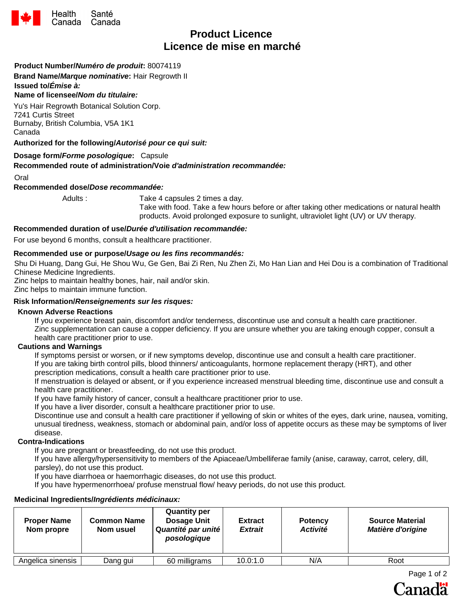

# **Product Licence Licence de mise en marché**

## **Product Number/***Numéro de produit***:** 80074119

**Brand Name/***Marque nominative***:** Hair Regrowth II

**Issued to/***Émise à:* 

# **Name of licensee/***Nom du titulaire:*

Yu's Hair Regrowth Botanical Solution Corp. 7241 Curtis Street Burnaby, British Columbia, V5A 1K1 Canada

## **Authorized for the following/***Autorisé pour ce qui suit:*

## **Dosage form/***Forme posologique***:** Capsule

## **Recommended route of administration/Voie** *d'administration recommandée:*

Oral

#### **Recommended dose/***Dose recommandée:*

Adults : Take 4 capsules 2 times a day. Take with food. Take a few hours before or after taking other medications or natural health products. Avoid prolonged exposure to sunlight, ultraviolet light (UV) or UV therapy.

# **Recommended duration of use/***Durée d'utilisation recommandée:*

For use beyond 6 months, consult a healthcare practitioner.

## **Recommended use or purpose/***Usage ou les fins recommandés:*

Shu Di Huang, Dang Gui, He Shou Wu, Ge Gen, Bai Zi Ren, Nu Zhen Zi, Mo Han Lian and Hei Dou is a combination of Traditional Chinese Medicine Ingredients.

Zinc helps to maintain healthy bones, hair, nail and/or skin.

Zinc helps to maintain immune function.

#### **Risk Information/***Renseignements sur les risques:*

#### **Known Adverse Reactions**

If you experience breast pain, discomfort and/or tenderness, discontinue use and consult a health care practitioner. Zinc supplementation can cause a copper deficiency. If you are unsure whether you are taking enough copper, consult a health care practitioner prior to use.

#### **Cautions and Warnings**

If symptoms persist or worsen, or if new symptoms develop, discontinue use and consult a health care practitioner. If you are taking birth control pills, blood thinners/ anticoagulants, hormone replacement therapy (HRT), and other prescription medications, consult a health care practitioner prior to use.

If menstruation is delayed or absent, or if you experience increased menstrual bleeding time, discontinue use and consult a health care practitioner.

If you have family history of cancer, consult a healthcare practitioner prior to use.

If you have a liver disorder, consult a healthcare practitioner prior to use.

Discontinue use and consult a health care practitioner if yellowing of skin or whites of the eyes, dark urine, nausea, vomiting, unusual tiredness, weakness, stomach or abdominal pain, and/or loss of appetite occurs as these may be symptoms of liver disease.

# **Contra-Indications**

If you are pregnant or breastfeeding, do not use this product.

If you have allergy/hypersensitivity to members of the Apiaceae/Umbelliferae family (anise, caraway, carrot, celery, dill, parsley), do not use this product.

If you have diarrhoea or haemorrhagic diseases, do not use this product.

If you have hypermenorrhoea/ profuse menstrual flow/ heavy periods, do not use this product.

#### **Medicinal Ingredients/***Ingrédients médicinaux:*

| <b>Proper Name</b><br>Nom propre | <b>Common Name</b><br>Nom usuel | <b>Quantity per</b><br>Dosage Unit<br>Quantité par unité<br>posologique | <b>Extract</b><br><b>Extrait</b> | <b>Potency</b><br><b>Activité</b> | <b>Source Material</b><br>Matière d'origine |
|----------------------------------|---------------------------------|-------------------------------------------------------------------------|----------------------------------|-----------------------------------|---------------------------------------------|
| Angelica sinensis                | Dang gui                        | 60 milligrams                                                           | 10.0:1.0                         | N/A                               | Root                                        |